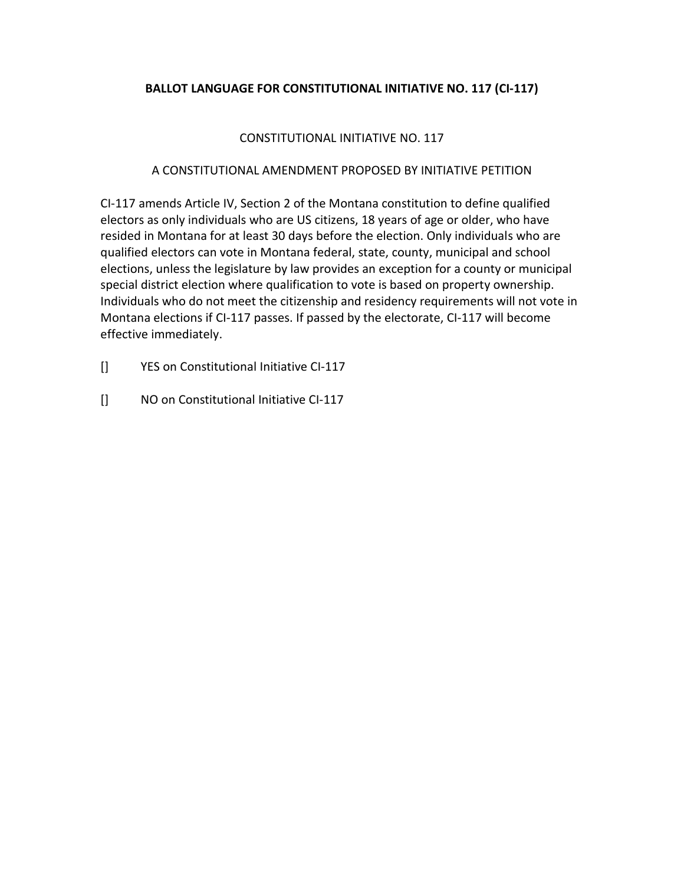# **BALLOT LANGUAGE FOR CONSTITUTIONAL INITIATIVE NO. 117 (CI-117)**

# CONSTITUTIONAL INITIATIVE NO. 117

# A CONSTITUTIONAL AMENDMENT PROPOSED BY INITIATIVE PETITION

CI-117 amends Article IV, Section 2 of the Montana constitution to define qualified electors as only individuals who are US citizens, 18 years of age or older, who have resided in Montana for at least 30 days before the election. Only individuals who are qualified electors can vote in Montana federal, state, county, municipal and school elections, unless the legislature by law provides an exception for a county or municipal special district election where qualification to vote is based on property ownership. Individuals who do not meet the citizenship and residency requirements will not vote in Montana elections if CI-117 passes. If passed by the electorate, CI-117 will become effective immediately.

- [] YES on Constitutional Initiative CI-117
- [] NO on Constitutional Initiative CI-117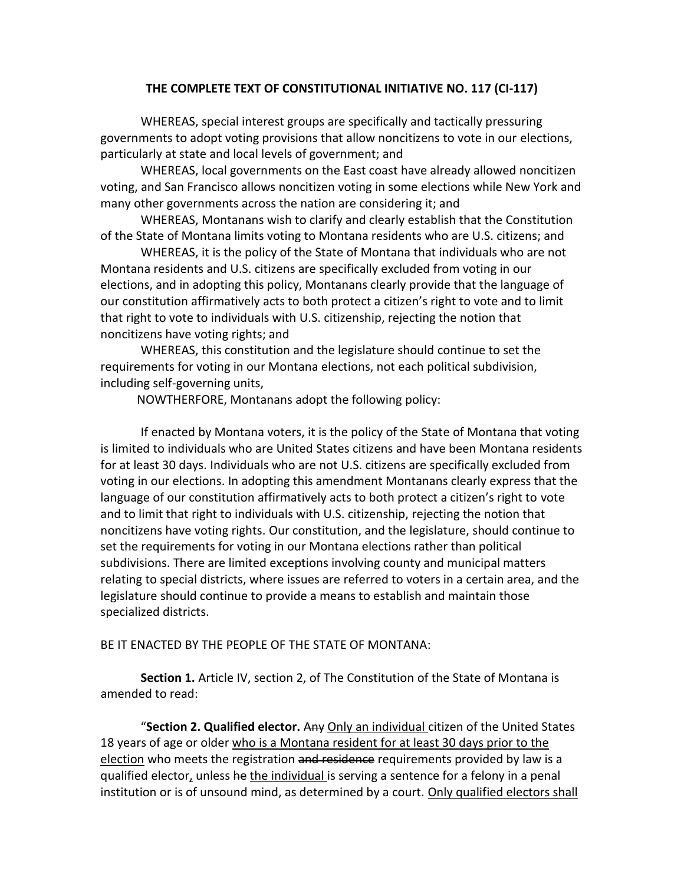### **THE COMPLETE TEXT OF CONSTITUTIONAL INITIATIVE NO. 117 (CI-117)**

 WHEREAS, special interest groups are specifically and tactically pressuring governments to adopt voting provisions that allow noncitizens to vote in our elections, particularly at state and local levels of government; and

 WHEREAS, local governments on the East coast have already allowed noncitizen voting, and San Francisco allows noncitizen voting in some elections while New York and many other governments across the nation are considering it; and

 WHEREAS, Montanans wish to clarify and clearly establish that the Constitution of the State of Montana limits voting to Montana residents who are U.S. citizens; and

 WHEREAS, it is the policy of the State of Montana that individuals who are not Montana residents and U.S. citizens are specifically excluded from voting in our elections, and in adopting this policy, Montanans clearly provide that the language of our constitution affirmatively acts to both protect a citizen's right to vote and to limit that right to vote to individuals with U.S. citizenship, rejecting the notion that noncitizens have voting rights; and

 WHEREAS, this constitution and the legislature should continue to set the requirements for voting in our Montana elections, not each political subdivision, including self-governing units,

NOWTHERFORE, Montanans adopt the following policy:

If enacted by Montana voters, it is the policy of the State of Montana that voting is limited to individuals who are United States citizens and have been Montana residents for at least 30 days. Individuals who are not U.S. citizens are specifically excluded from voting in our elections. In adopting this amendment Montanans clearly express that the language of our constitution affirmatively acts to both protect a citizen's right to vote and to limit that right to individuals with U.S. citizenship, rejecting the notion that noncitizens have voting rights. Our constitution, and the legislature, should continue to set the requirements for voting in our Montana elections rather than political subdivisions. There are limited exceptions involving county and municipal matters relating to special districts, where issues are referred to voters in a certain area, and the legislature should continue to provide a means to establish and maintain those specialized districts.

### BE IT ENACTED BY THE PEOPLE OF THE STATE OF MONTANA:

**Section 1.** Article IV, section 2, of The Constitution of the State of Montana is amended to read:

"**Section 2. Qualified elector.** Any Only an individual citizen of the United States 18 years of age or older who is a Montana resident for at least 30 days prior to the election who meets the registration and residence requirements provided by law is a qualified elector, unless he the individual is serving a sentence for a felony in a penal institution or is of unsound mind, as determined by a court. Only qualified electors shall